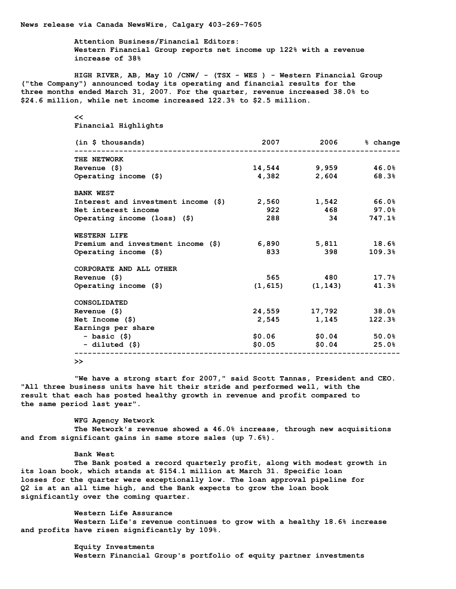**News release via Canada NewsWire, Calgary 403-269-7605**

**Attention Business/Financial Editors: Western Financial Group reports net income up 122% with a revenue increase of 38%**

**HIGH RIVER, AB, May 10 /CNW/ - (TSX - WES ) - Western Financial Group ("the Company") announced today its operating and financial results for the three months ended March 31, 2007. For the quarter, revenue increased 38.0% to \$24.6 million, while net income increased 122.3% to \$2.5 million.**

## **<<**

**Financial Highlights**

| (in \$ thousands)                       |       | 2007 2006 % change            |               |
|-----------------------------------------|-------|-------------------------------|---------------|
| THE NETWORK                             |       |                               |               |
| Revenue $(5)$                           |       | $14,544$ 9,959 $46.0%$        |               |
| Operating income $(\$)$                 | 4,382 |                               | $2,604$ 68.3% |
| <b>BANK WEST</b>                        |       |                               |               |
| Interest and investment income (\$)     | 2,560 |                               | $1,542$ 66.0% |
| Net interest income                     | 922   |                               | 468 97.0%     |
| Operating income $(\text{loss})$ $(\$)$ | 288   |                               | 34 747.18     |
| WESTERN LIFE                            |       |                               |               |
| Premium and investment income (\$)      |       | $6,890$ $5,811$ $18.6\%$      |               |
| Operating income $(\hat{S})$            | 833   | 398 — 1                       | 109.3%        |
| CORPORATE AND ALL OTHER                 |       |                               |               |
| Revenue $(5)$                           |       | 565 480 17.7%                 |               |
| Operating income $(\hat{S})$            |       | $(1, 615)$ $(1, 143)$ $41.3%$ |               |
| CONSOLIDATED                            |       |                               |               |
| Revenue $(5)$                           |       | 24,559 17,792 38.0%           |               |
| Net Income $(5)$                        |       | 2,545 1,145                   | 122.3%        |
| Earnings per share                      |       |                               |               |
| – basic (\$)                            |       | $$0.06$ $$0.04$ $$0.0\%$      |               |
| - diluted (\$)                          |       | $$0.05$ $$0.04$ $25.0\%$      |               |
|                                         |       |                               |               |

**>>**

**"We have a strong start for 2007," said Scott Tannas, President and CEO. "All three business units have hit their stride and performed well, with the result that each has posted healthy growth in revenue and profit compared to the same period last year".**

**WFG Agency Network The Network's revenue showed a 46.0% increase, through new acquisitions and from significant gains in same store sales (up 7.6%).**

## **Bank West**

**The Bank posted a record quarterly profit, along with modest growth in its loan book, which stands at \$154.1 million at March 31. Specific loan losses for the quarter were exceptionally low. The loan approval pipeline for Q2 is at an all time high, and the Bank expects to grow the loan book significantly over the coming quarter.**

**Western Life Assurance Western Life's revenue continues to grow with a healthy 18.6% increase and profits have risen significantly by 109%.**

> **Equity Investments Western Financial Group's portfolio of equity partner investments**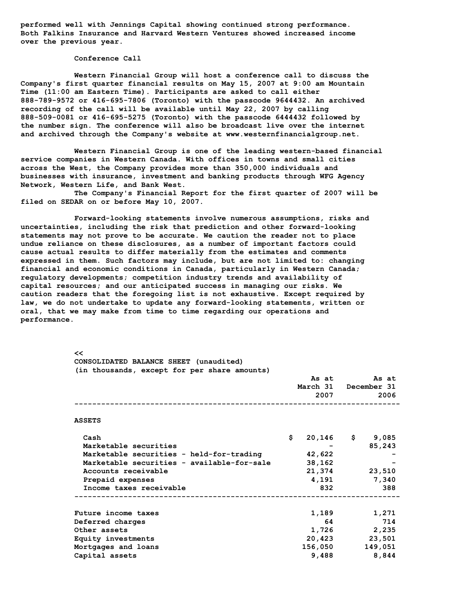**performed well with Jennings Capital showing continued strong performance. Both Falkins Insurance and Harvard Western Ventures showed increased income over the previous year.**

## **Conference Call**

**Western Financial Group will host a conference call to discuss the Company's first quarter financial results on May 15, 2007 at 9:00 am Mountain Time (11:00 am Eastern Time). Participants are asked to call either 888-789-9572 or 416-695-7806 (Toronto) with the passcode 9644432. An archived recording of the call will be available until May 22, 2007 by calling 888-509-0081 or 416-695-5275 (Toronto) with the passcode 6444432 followed by the number sign. The conference will also be broadcast live over the internet and archived through the Company's website at www.westernfinancialgroup.net.**

**Western Financial Group is one of the leading western-based financial service companies in Western Canada. With offices in towns and small cities across the West, the Company provides more than 350,000 individuals and businesses with insurance, investment and banking products through WFG Agency Network, Western Life, and Bank West.**

**The Company's Financial Report for the first quarter of 2007 will be filed on SEDAR on or before May 10, 2007.**

**Forward-looking statements involve numerous assumptions, risks and uncertainties, including the risk that prediction and other forward-looking statements may not prove to be accurate. We caution the reader not to place undue reliance on these disclosures, as a number of important factors could cause actual results to differ materially from the estimates and comments expressed in them. Such factors may include, but are not limited to: changing financial and economic conditions in Canada, particularly in Western Canada; regulatory developments; competition industry trends and availability of capital resources; and our anticipated success in managing our risks. We caution readers that the foregoing list is not exhaustive. Except required by law, we do not undertake to update any forward-looking statements, written or oral, that we may make from time to time regarding our operations and performance.**

| <<                                           |    |                      |  |                   |  |  |  |
|----------------------------------------------|----|----------------------|--|-------------------|--|--|--|
| CONSOLIDATED BALANCE SHEET (unaudited)       |    |                      |  |                   |  |  |  |
| (in thousands, except for per share amounts) |    |                      |  |                   |  |  |  |
|                                              |    | As at                |  | As at             |  |  |  |
|                                              |    | March 31 December 31 |  |                   |  |  |  |
|                                              |    | 2007                 |  | 2006              |  |  |  |
|                                              |    |                      |  |                   |  |  |  |
| <b>ASSETS</b>                                |    |                      |  |                   |  |  |  |
| Cash                                         | \$ |                      |  | $20,146$ \$ 9,085 |  |  |  |
| Marketable securities                        |    |                      |  | 85,243            |  |  |  |
| Marketable securities - held-for-trading     |    | 42,622               |  |                   |  |  |  |
| Marketable securities - available-for-sale   |    | 38,162               |  |                   |  |  |  |
| Accounts receivable                          |    | 21,374               |  | 23,510            |  |  |  |
| Prepaid expenses                             |    | 4,191                |  | 7,340             |  |  |  |
| Income taxes receivable                      |    | 832                  |  | 388               |  |  |  |
|                                              |    |                      |  |                   |  |  |  |
| Future income taxes                          |    | 1,189                |  | 1,271             |  |  |  |
| Deferred charges                             |    | 64                   |  | 714               |  |  |  |
| Other assets                                 |    | 1,726                |  | 2,235             |  |  |  |
| Equity investments                           |    |                      |  | 20,423 23,501     |  |  |  |
| Mortgages and loans                          |    | 156,050              |  | 149,051           |  |  |  |
| Capital assets                               |    | 9,488                |  | 8,844             |  |  |  |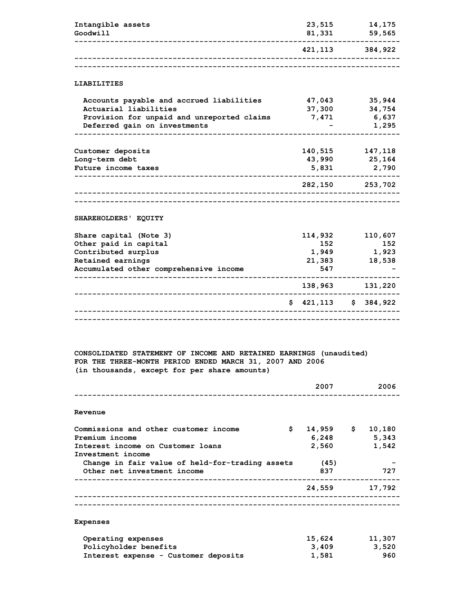| Intangible assets<br>Goodwill                                                                                                                   | 23,515<br>81,331                            | 14,175<br>59,565                   |
|-------------------------------------------------------------------------------------------------------------------------------------------------|---------------------------------------------|------------------------------------|
|                                                                                                                                                 |                                             | 421,113 384,922                    |
|                                                                                                                                                 |                                             |                                    |
| <b>LIABILITIES</b>                                                                                                                              |                                             |                                    |
| Accounts payable and accrued liabilities<br>Actuarial liabilities<br>Provision for unpaid and unreported claims<br>Deferred gain on investments | 47,043<br>37,300<br>7,471                   | 35,944<br>34,754<br>6,637<br>1,295 |
| Customer deposits<br>Long-term debt<br>Future income taxes                                                                                      | 140,515<br>43,990<br>5,831<br>- - - - - - - | 147,118<br>25,164<br>2,790         |
|                                                                                                                                                 |                                             | 282,150 253,702                    |
|                                                                                                                                                 |                                             |                                    |
| SHAREHOLDERS' EQUITY                                                                                                                            |                                             |                                    |
| Share capital (Note 3)<br>Other paid in capital<br>Contributed surplus<br>Retained earnings<br>Accumulated other comprehensive income           | 114,932<br>152<br>1,949<br>21,383<br>547    | 110,607<br>152<br>1,923<br>18,538  |
|                                                                                                                                                 | 138,963                                     | 131,220                            |
|                                                                                                                                                 | \$421,113                                   | \$384,922                          |
|                                                                                                                                                 |                                             |                                    |

**CONSOLIDATED STATEMENT OF INCOME AND RETAINED EARNINGS (unaudited) FOR THE THREE-MONTH PERIOD ENDED MARCH 31, 2007 AND 2006 (in thousands, except for per share amounts)**

|                                                 | 2007        | 2006   |
|-------------------------------------------------|-------------|--------|
| Revenue                                         |             |        |
| \$<br>Commissions and other customer income     | $14,959$ \$ | 10,180 |
| Premium income                                  | 6,248       | 5,343  |
| Interest income on Customer loans               | 2,560       | 1,542  |
| Investment income                               |             |        |
| Change in fair value of held-for-trading assets | (45)        |        |
| Other net investment income                     | 837         | 727    |
|                                                 | 24,559      | 17,792 |
|                                                 |             |        |
| <b>Expenses</b>                                 |             |        |
| Operating expenses                              | 15,624      | 11,307 |
| Policyholder henefits                           | <b>3409</b> | 3520   |

**Policyholder benefits 3,409 3,520** Interest expense - Customer deposits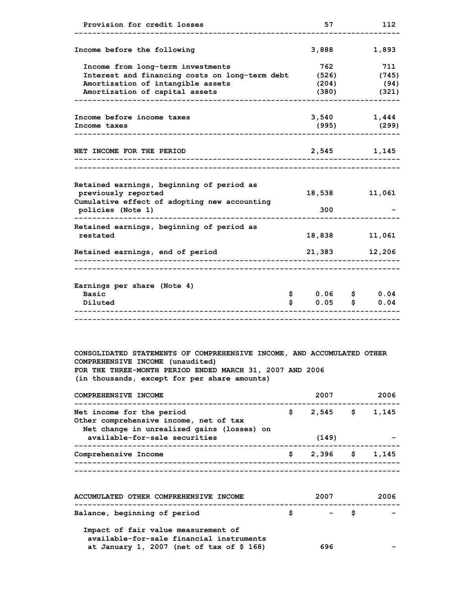| Provision for credit losses                                                                                                                                                                                            |          | 57                             | 112                    |                               |
|------------------------------------------------------------------------------------------------------------------------------------------------------------------------------------------------------------------------|----------|--------------------------------|------------------------|-------------------------------|
| Income before the following                                                                                                                                                                                            |          | 3,888                          |                        | 1,893                         |
| Income from long-term investments<br>Interest and financing costs on long-term debt<br>Amortization of intangible assets<br>Amortization of capital assets                                                             |          | 762<br>(526)<br>(204)<br>(380) |                        | 711<br>(745)<br>(94)<br>(321) |
| Income before income taxes<br>Income taxes                                                                                                                                                                             |          | (995)                          | $3,540$ 1,444<br>(299) |                               |
| NET INCOME FOR THE PERIOD                                                                                                                                                                                              |          | 2,545                          |                        | 1,145                         |
| Retained earnings, beginning of period as<br>previously reported<br>Cumulative effect of adopting new accounting<br>policies (Note 1)                                                                                  |          | 18,538<br>300                  |                        | 11,061                        |
| Retained earnings, beginning of period as<br>restated                                                                                                                                                                  |          | 18,838                         |                        | 11,061                        |
| Retained earnings, end of period                                                                                                                                                                                       |          | 21,383                         |                        | 12,206                        |
| Earnings per share (Note 4)<br><b>Basic</b><br>Diluted                                                                                                                                                                 | \$<br>\$ | $0.06$ \$<br>0.05              | \$                     | 0.04<br>0.04                  |
| CONSOLIDATED STATEMENTS OF COMPREHENSIVE INCOME, AND ACCUMULATED OTHER<br>COMPREHENSIVE INCOME (unaudited)<br>FOR THE THREE-MONTH PERIOD ENDED MARCH 31, 2007 AND 2006<br>(in thousands, except for per share amounts) |          |                                |                        |                               |
| COMPREHENSIVE INCOME                                                                                                                                                                                                   |          | 2007                           |                        | 2006                          |
| Net income for the period<br>Other comprehensive income, net of tax<br>Net change in unrealized gains (losses) on                                                                                                      |          | $$2,545$ \$1,145               |                        |                               |
| available-for-sale securities                                                                                                                                                                                          | (149)    |                                |                        |                               |

| avaiiable-iol-saie seculicies | しエキンノ                         |  |
|-------------------------------|-------------------------------|--|
| Comprehensive Income          | $\frac{1}{2}$ , 396 \$ 1, 145 |  |
|                               |                               |  |
|                               |                               |  |

| <b>ACCUMULATED OTHER COMPREHENSIVE INCOME</b>                                   |    | 2007 | 2006                     |  |
|---------------------------------------------------------------------------------|----|------|--------------------------|--|
| Balance, beginning of period                                                    | s. | – S  | $\overline{\phantom{a}}$ |  |
| Impact of fair value measurement of<br>available-for-sale financial instruments |    |      |                          |  |
| at January 1, 2007 (net of tax of $$168)$                                       |    | 696  | -                        |  |